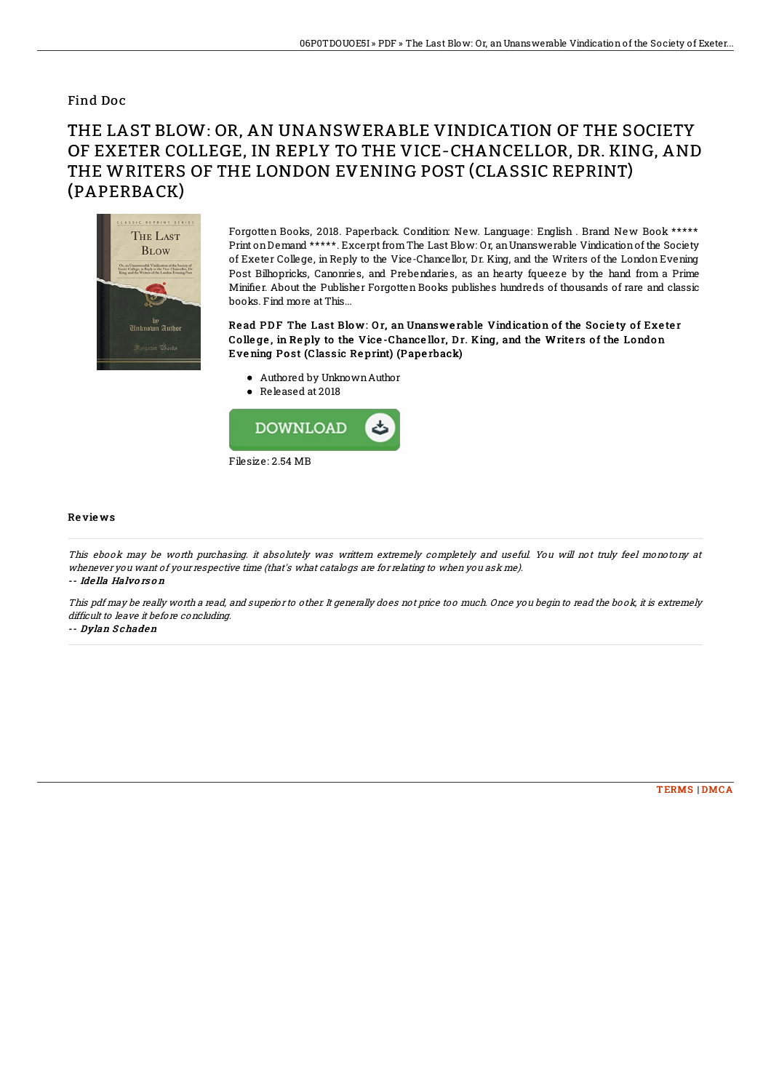## Find Doc

## THE LAST BLOW: OR, AN UNANSWERABLE VINDICATION OF THE SOCIETY OF EXETER COLLEGE, IN REPLY TO THE VICE-CHANCELLOR, DR. KING, AND THE WRITERS OF THE LONDON EVENING POST (CLASSIC REPRINT) (PAPERBACK)



Forgotten Books, 2018. Paperback. Condition: New. Language: English . Brand New Book \*\*\*\*\* Print onDemand \*\*\*\*\*. Excerpt fromThe Last Blow: Or, anUnanswerable Vindicationof the Society of Exeter College, in Reply to the Vice-Chancellor, Dr. King, and the Writers of the London Evening Post Bilhopricks, Canonries, and Prebendaries, as an hearty fqueeze by the hand from a Prime Minifier. About the Publisher Forgotten Books publishes hundreds of thousands of rare and classic books. Find more at This...

Read PDF The Last Blow: Or, an Unanswerable Vindication of the Society of Exeter College, in Reply to the Vice-Chancellor, Dr. King, and the Writers of the London Eve ning Po st (Classic Re print) (Pape rback)

- Authored by UnknownAuthor
- Released at 2018



## Re vie ws

This ebook may be worth purchasing. it absolutely was writtern extremely completely and useful. You will not truly feel monotony at whenever you want of your respective time (that's what catalogs are for relating to when you ask me). -- Ide lla Halvo rs o <sup>n</sup>

This pdf may be really worth <sup>a</sup> read, and superior to other. It generally does not price too much. Once you begin to read the book, it is extremely difficult to leave it before concluding.

-- Dylan S chaden